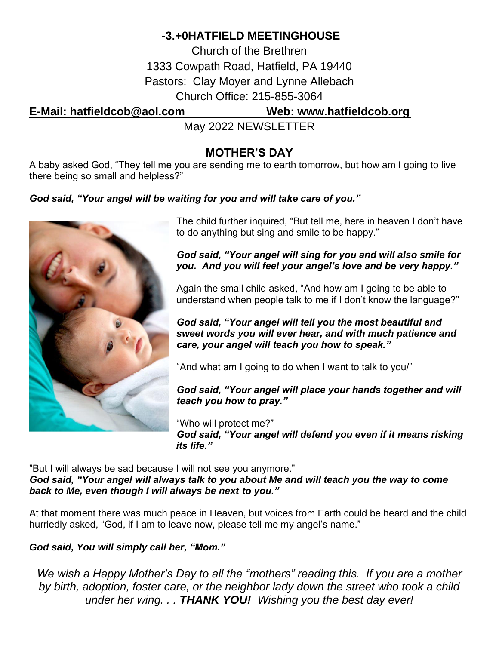## **-3.+0HATFIELD MEETINGHOUSE**

Church of the Brethren 1333 Cowpath Road, Hatfield, PA 19440 Pastors: Clay Moyer and Lynne Allebach Church Office: 215-855-3064

**E-Mail: [hatfieldcob@aol.com](mailto:hatfieldcob@aol.com) Web: [www.hatfieldcob.org](http://www.hatfieldcob.org/)**

May 2022 NEWSLETTER

## **MOTHER'S DAY**

A baby asked God, "They tell me you are sending me to earth tomorrow, but how am I going to live there being so small and helpless?"

## *God said, "Your angel will be waiting for you and will take care of you."*



The child further inquired, "But tell me, here in heaven I don't have to do anything but sing and smile to be happy."

*God said, "Your angel will sing for you and will also smile for you. And you will feel your angel's love and be very happy."*

Again the small child asked, "And how am I going to be able to understand when people talk to me if I don't know the language?"

*God said, "Your angel will tell you the most beautiful and sweet words you will ever hear, and with much patience and care, your angel will teach you how to speak."*

"And what am I going to do when I want to talk to you/"

*God said, "Your angel will place your hands together and will teach you how to pray."*

"Who will protect me?" *God said, "Your angel will defend you even if it means risking its life."*

"But I will always be sad because I will not see you anymore." *God said, "Your angel will always talk to you about Me and will teach you the way to come back to Me, even though I will always be next to you."*

At that moment there was much peace in Heaven, but voices from Earth could be heard and the child hurriedly asked, "God, if I am to leave now, please tell me my angel's name."

## *God said, You will simply call her, "Mom."*

*We wish a Happy Mother's Day to all the "mothers" reading this. If you are a mother by birth, adoption, foster care, or the neighbor lady down the street who took a child under her wing. . . THANK YOU! Wishing you the best day ever!*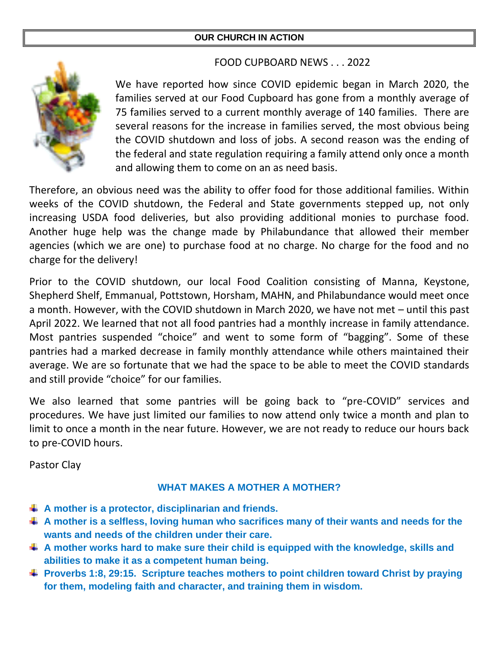## **OUR CHURCH IN ACTION**

## FOOD CUPBOARD NEWS . . . 2022



We have reported how since COVID epidemic began in March 2020, the families served at our Food Cupboard has gone from a monthly average of 75 families served to a current monthly average of 140 families. There are several reasons for the increase in families served, the most obvious being the COVID shutdown and loss of jobs. A second reason was the ending of the federal and state regulation requiring a family attend only once a month and allowing them to come on an as need basis.

Therefore, an obvious need was the ability to offer food for those additional families. Within weeks of the COVID shutdown, the Federal and State governments stepped up, not only increasing USDA food deliveries, but also providing additional monies to purchase food. Another huge help was the change made by Philabundance that allowed their member agencies (which we are one) to purchase food at no charge. No charge for the food and no charge for the delivery!

Prior to the COVID shutdown, our local Food Coalition consisting of Manna, Keystone, Shepherd Shelf, Emmanual, Pottstown, Horsham, MAHN, and Philabundance would meet once a month. However, with the COVID shutdown in March 2020, we have not met – until this past April 2022. We learned that not all food pantries had a monthly increase in family attendance. Most pantries suspended "choice" and went to some form of "bagging". Some of these pantries had a marked decrease in family monthly attendance while others maintained their average. We are so fortunate that we had the space to be able to meet the COVID standards and still provide "choice" for our families.

We also learned that some pantries will be going back to "pre-COVID" services and procedures. We have just limited our families to now attend only twice a month and plan to limit to once a month in the near future. However, we are not ready to reduce our hours back to pre-COVID hours.

Pastor Clay

## **WHAT MAKES A MOTHER A MOTHER?**

- **A mother is a protector, disciplinarian and friends.**
- **A mother is a selfless, loving human who sacrifices many of their wants and needs for the wants and needs of the children under their care.**
- **A mother works hard to make sure their child is equipped with the knowledge, skills and abilities to make it as a competent human being.**
- **Proverbs 1:8, 29:15. Scripture teaches mothers to point children toward Christ by praying for them, modeling faith and character, and training them in wisdom.**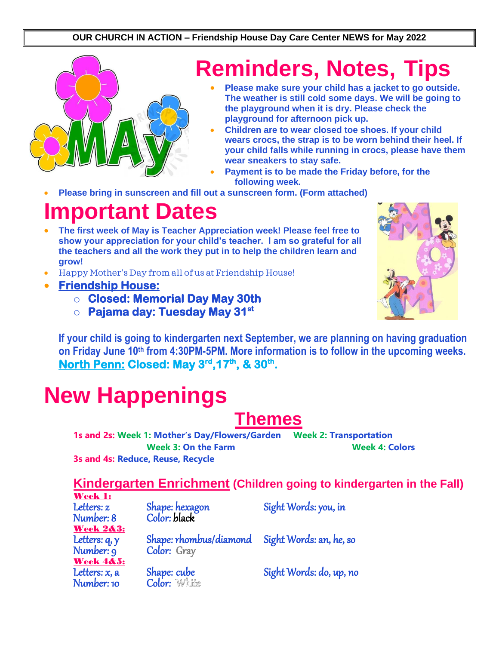#### **OUR CHURCH IN ACTION – Friendship House Day Care Center NEWS for May 2022**



## **Reminders, Notes, Tips**

- **Please make sure your child has a jacket to go outside. The weather is still cold some days. We will be going to the playground when it is dry. Please check the playground for afternoon pick up.**
- **Children are to wear closed toe shoes. If your child wears crocs, the strap is to be worn behind their heel. If your child falls while running in crocs, please have them wear sneakers to stay safe.**
- **Payment is to be made the Friday before, for the following week.**
- **Please bring in sunscreen and fill out a sunscreen form. (Form attached)**

## **Important Dates**

- **The first week of May is Teacher Appreciation week! Please feel free to show your appreciation for your child's teacher. I am so grateful for all the teachers and all the work they put in to help the children learn and grow!**
- Happy Mother's Day from all of us at Friendship House!
- **Friendship House:** 
	- o **Closed: Memorial Day May 30th**
	- o **Pajama day: Tuesday May 31st**



**If your child is going to kindergarten next September, we are planning on having graduation on Friday June 10th from 4:30PM-5PM. More information is to follow in the upcoming weeks. North Penn: Closed: May 3rd,17th, & 30th .** 

# **New Happenings**

## **Themes**

**1s and 2s: Week 1: Mother's Day/Flowers/Garden Week 2: Transportation Week 3: On the Farm Week 4: Colors**

**3s and 4s: Reduce, Reuse, Recycle**

## **Kindergarten Enrichment (Children going to kindergarten in the Fall)**

| Week 1:              |                                     |                         |
|----------------------|-------------------------------------|-------------------------|
| Letters: z           | Shape: hexagon<br>Color: black      | Sight Words: you, in    |
| Number: 8            |                                     |                         |
| <b>Week 2&amp;3:</b> |                                     |                         |
| Letters: q, y        | Shape: rhombus/diamond              | Sight Words: an, he, so |
| Number: 9            | Color: Gray                         |                         |
| <b>Week 4&amp;5:</b> |                                     |                         |
| Letters: $x$ , a     |                                     | Sight Words: do, up, no |
| Number: 10           | <b>Shape: cube<br/>Color:</b> White |                         |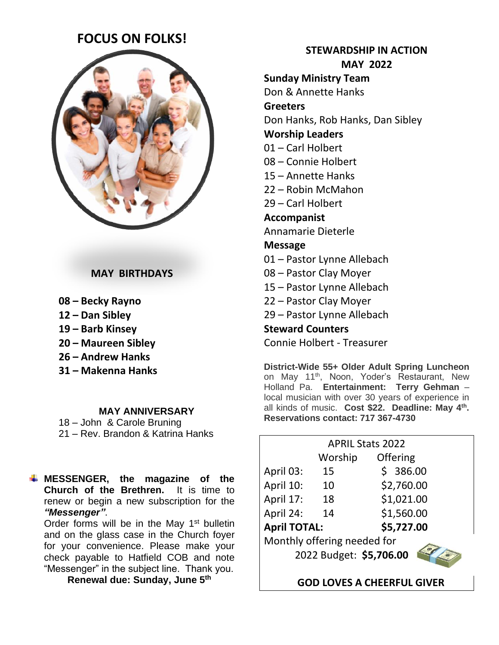## **FOCUS ON FOLKS!**



### **MAY BIRTHDAYS**

- **08 – Becky Rayno**
- **12 – Dan Sibley**
- **19 – Barb Kinsey**
- **20 – Maureen Sibley**
- **26 – Andrew Hanks**
- **31 – Makenna Hanks**

#### **MAY ANNIVERSARY**

18 – John & Carole Bruning 21 – Rev. Brandon & Katrina Hanks

**MESSENGER, the magazine of the Church of the Brethren.** It is time to renew or begin a new subscription for the *"Messenger"*.

Order forms will be in the May 1<sup>st</sup> bulletin and on the glass case in the Church foyer for your convenience. Please make your check payable to Hatfield COB and note "Messenger" in the subject line. Thank you.

**Renewal due: Sunday, June 5 th**

**STEWARDSHIP IN ACTION MAY 2022**

**Sunday Ministry Team** Don & Annette Hanks

**Greeters**

Don Hanks, Rob Hanks, Dan Sibley

### **Worship Leaders**

- 01 Carl Holbert
- 08 Connie Holbert
- 15 Annette Hanks
- 22 Robin McMahon
- 29 Carl Holbert

### **Accompanist**

Annamarie Dieterle

## **Message**

- 01 Pastor Lynne Allebach
- 08 Pastor Clay Moyer
- 15 Pastor Lynne Allebach
- 22 Pastor Clay Moyer
- 29 Pastor Lynne Allebach

## **Steward Counters**

Connie Holbert - Treasurer

**District-Wide 55+ Older Adult Spring Luncheon** on May 11<sup>th</sup>, Noon, Yoder's Restaurant, New Holland Pa. **Entertainment: Terry Gehman** – local musician with over 30 years of experience in all kinds of music. **Cost \$22. Deadline: May 4th . Reservations contact: 717 367-4730**

| <b>APRIL Stats 2022</b>     |         |            |  |  |
|-----------------------------|---------|------------|--|--|
|                             | Worship | Offering   |  |  |
| April 03:                   | 15      | \$386.00   |  |  |
| April 10:                   | 10      | \$2,760.00 |  |  |
| April 17:                   | 18      | \$1,021.00 |  |  |
| April 24:                   | 14      | \$1,560.00 |  |  |
| <b>April TOTAL:</b>         |         | \$5,727.00 |  |  |
| Monthly offering needed for |         |            |  |  |
| 2022 Budget: \$5,706.00     |         |            |  |  |
|                             |         |            |  |  |

 **GOD LOVES A CHEERFUL GIVER**